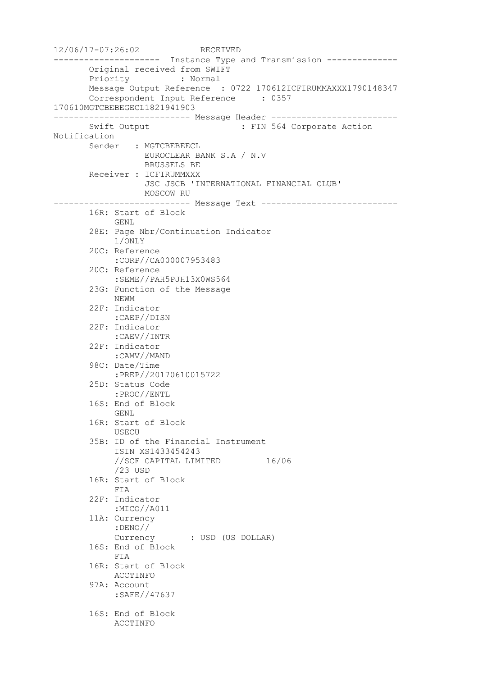12/06/17-07:26:02 RECEIVED --------------------- Instance Type and Transmission -------------- Original received from SWIFT Priority : Normal Message Output Reference : 0722 170612ICFIRUMMAXXX1790148347 Correspondent Input Reference : 0357 170610MGTCBEBEGECL1821941903 --------------------------- Message Header ------------------------- Swift Output : FIN 564 Corporate Action Notification Sender : MGTCBEBEECL EUROCLEAR BANK S.A / N.V BRUSSELS BE Receiver : ICFIRUMMXXX JSC JSCB 'INTERNATIONAL FINANCIAL CLUB' MOSCOW RU --------------------------- Message Text --------------------------- 16R: Start of Block GENL 28E: Page Nbr/Continuation Indicator 1/ONLY 20C: Reference :CORP//CA000007953483 20C: Reference :SEME//PAH5PJH13X0WS564 23G: Function of the Message NEWM 22F: Indicator :CAEP//DISN 22F: Indicator :CAEV//INTR 22F: Indicator :CAMV//MAND 98C: Date/Time :PREP//20170610015722 25D: Status Code :PROC//ENTL 16S: End of Block GENL 16R: Start of Block USECU 35B: ID of the Financial Instrument ISIN XS1433454243 //SCF CAPITAL LIMITED 16/06 /23 USD 16R: Start of Block FIA 22F: Indicator :MICO//A011 11A: Currency :DENO// Currency : USD (US DOLLAR) 16S: End of Block FIA 16R: Start of Block ACCTINFO 97A: Account :SAFE//47637 16S: End of Block ACCTINFO